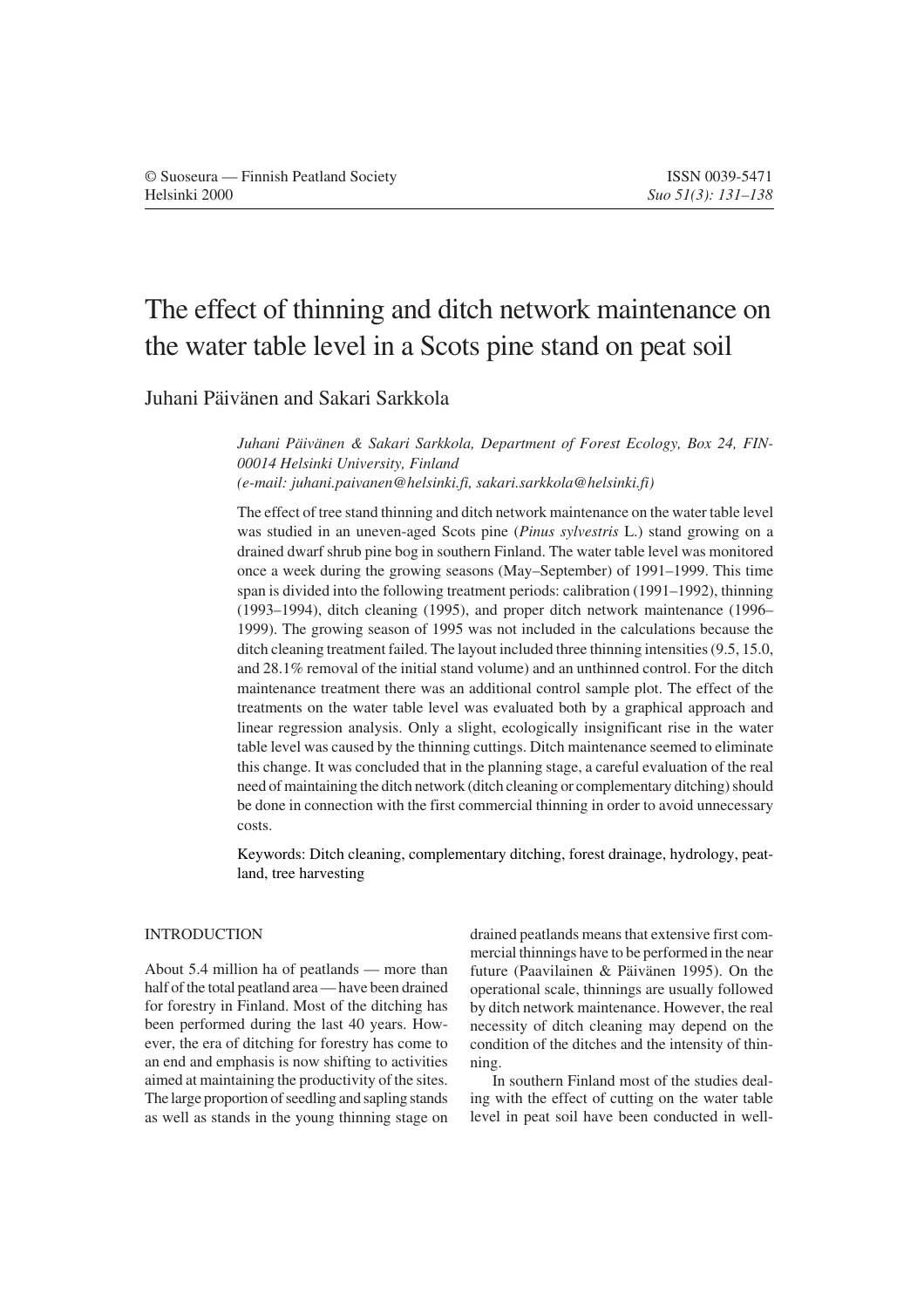# The effect of thinning and ditch network maintenance on the water table level in a Scots pine stand on peat soil

# Juhani Päivänen and Sakari Sarkkola

*Juhani Päivänen & Sakari Sarkkola, Department of Forest Ecology, Box 24, FIN-00014 Helsinki University, Finland (e-mail: juhani.paivanen@helsinki.fi, sakari.sarkkola@helsinki.fi)*

The effect of tree stand thinning and ditch network maintenance on the water table level was studied in an uneven-aged Scots pine (*Pinus sylvestris* L.) stand growing on a drained dwarf shrub pine bog in southern Finland. The water table level was monitored once a week during the growing seasons (May–September) of 1991–1999. This time span is divided into the following treatment periods: calibration (1991–1992), thinning (1993–1994), ditch cleaning (1995), and proper ditch network maintenance (1996– 1999). The growing season of 1995 was not included in the calculations because the ditch cleaning treatment failed. The layout included three thinning intensities (9.5, 15.0, and 28.1% removal of the initial stand volume) and an unthinned control. For the ditch maintenance treatment there was an additional control sample plot. The effect of the treatments on the water table level was evaluated both by a graphical approach and linear regression analysis. Only a slight, ecologically insignificant rise in the water table level was caused by the thinning cuttings. Ditch maintenance seemed to eliminate this change. It was concluded that in the planning stage, a careful evaluation of the real need of maintaining the ditch network (ditch cleaning or complementary ditching) should be done in connection with the first commercial thinning in order to avoid unnecessary costs.

Keywords: Ditch cleaning, complementary ditching, forest drainage, hydrology, peatland, tree harvesting

## INTRODUCTION

About 5.4 million ha of peatlands — more than half of the total peatland area — have been drained for forestry in Finland. Most of the ditching has been performed during the last 40 years. However, the era of ditching for forestry has come to an end and emphasis is now shifting to activities aimed at maintaining the productivity of the sites. The large proportion of seedling and sapling stands as well as stands in the young thinning stage on

drained peatlands means that extensive first commercial thinnings have to be performed in the near future (Paavilainen & Päivänen 1995). On the operational scale, thinnings are usually followed by ditch network maintenance. However, the real necessity of ditch cleaning may depend on the condition of the ditches and the intensity of thinning.

In southern Finland most of the studies dealing with the effect of cutting on the water table level in peat soil have been conducted in well-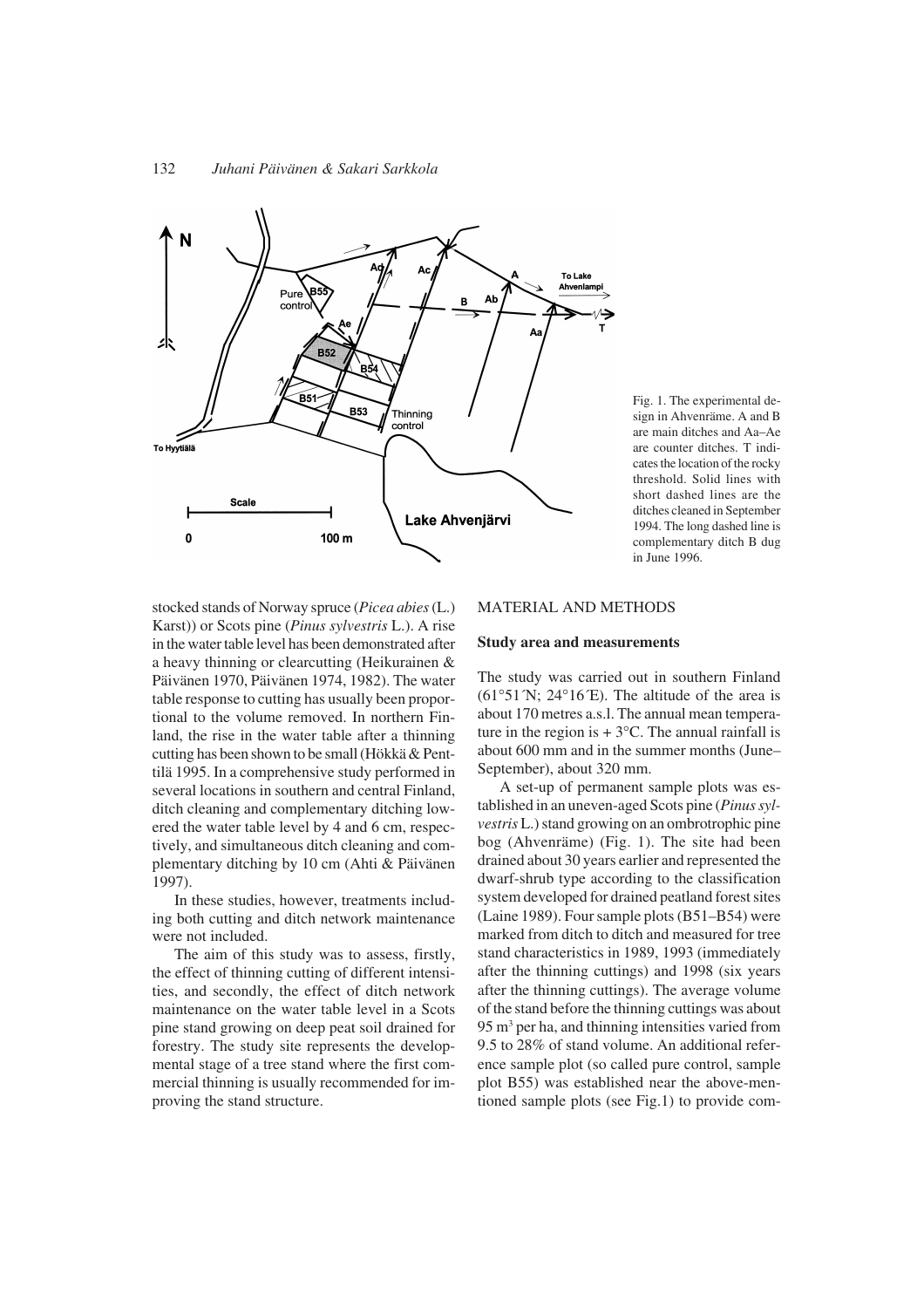

Fig. 1. The experimental design in Ahvenräme. A and B are main ditches and Aa–Ae are counter ditches. T indicates the location of the rocky threshold. Solid lines with short dashed lines are the ditches cleaned in September 1994. The long dashed line is complementary ditch B dug in June 1996.

stocked stands of Norway spruce (*Picea abies* (L.) Karst)) or Scots pine (*Pinus sylvestris* L.). A rise in the water table level has been demonstrated after a heavy thinning or clearcutting (Heikurainen & Päivänen 1970, Päivänen 1974, 1982). The water table response to cutting has usually been proportional to the volume removed. In northern Finland, the rise in the water table after a thinning cutting has been shown to be small (Hökkä & Penttilä 1995. In a comprehensive study performed in several locations in southern and central Finland, ditch cleaning and complementary ditching lowered the water table level by 4 and 6 cm, respectively, and simultaneous ditch cleaning and complementary ditching by 10 cm (Ahti & Päivänen 1997).

In these studies, however, treatments including both cutting and ditch network maintenance were not included.

The aim of this study was to assess, firstly, the effect of thinning cutting of different intensities, and secondly, the effect of ditch network maintenance on the water table level in a Scots pine stand growing on deep peat soil drained for forestry. The study site represents the developmental stage of a tree stand where the first commercial thinning is usually recommended for improving the stand structure.

## MATERIAL AND METHODS

#### **Study area and measurements**

The study was carried out in southern Finland  $(61°51'N; 24°16'E)$ . The altitude of the area is about 170 metres a.s.l. The annual mean temperature in the region is  $+ 3$ °C. The annual rainfall is about 600 mm and in the summer months (June– September), about 320 mm.

A set-up of permanent sample plots was established in an uneven-aged Scots pine (*Pinus sylvestris* L.) stand growing on an ombrotrophic pine bog (Ahvenräme) (Fig. 1). The site had been drained about 30 years earlier and represented the dwarf-shrub type according to the classification system developed for drained peatland forest sites (Laine 1989). Four sample plots (B51–B54) were marked from ditch to ditch and measured for tree stand characteristics in 1989, 1993 (immediately after the thinning cuttings) and 1998 (six years after the thinning cuttings). The average volume of the stand before the thinning cuttings was about 95 m<sup>3</sup> per ha, and thinning intensities varied from 9.5 to 28% of stand volume. An additional reference sample plot (so called pure control, sample plot B55) was established near the above-mentioned sample plots (see Fig.1) to provide com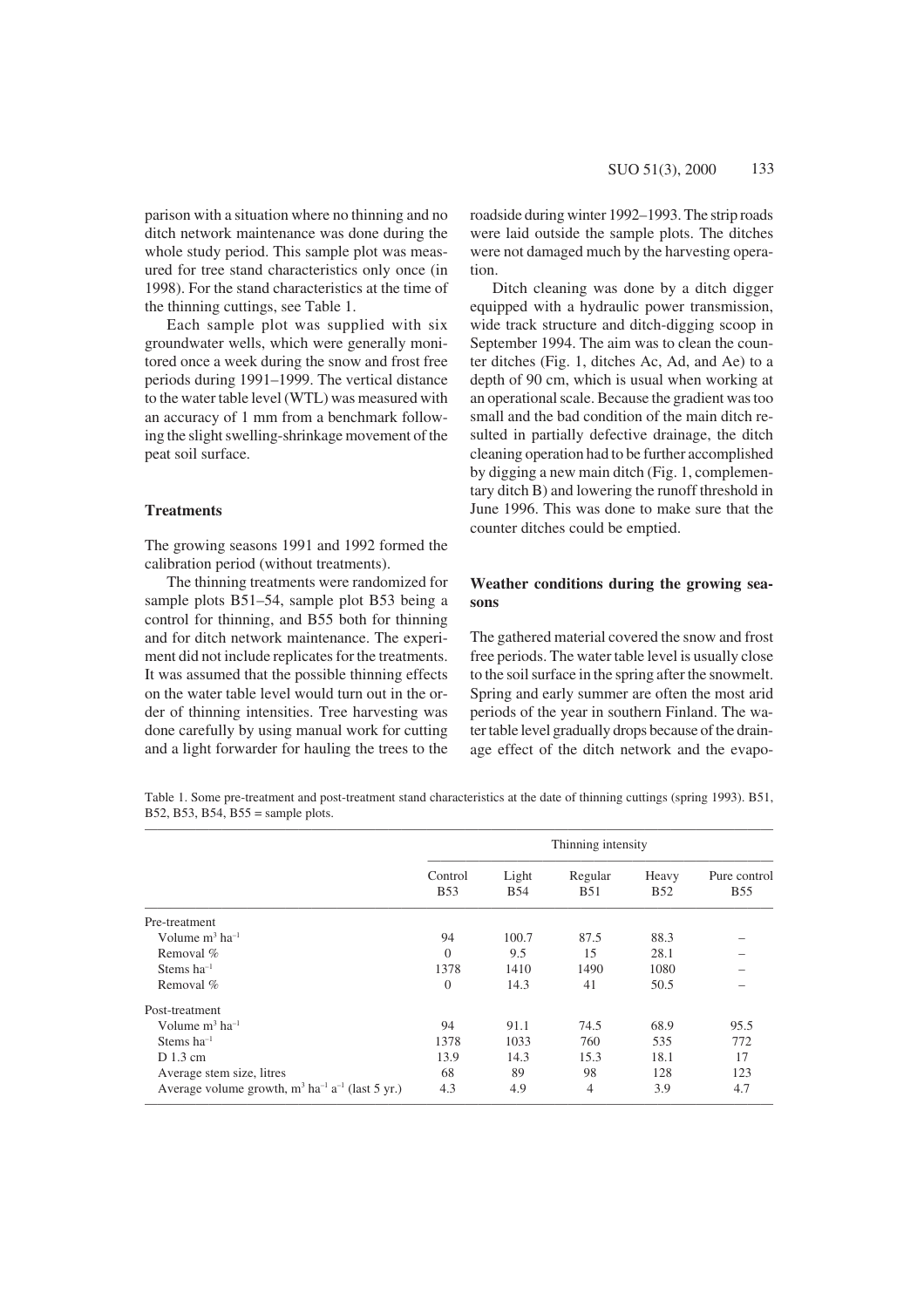ditch network maintenance was done during the whole study period. This sample plot was measured for tree stand characteristics only once (in 1998). For the stand characteristics at the time of the thinning cuttings, see Table 1.

Each sample plot was supplied with six groundwater wells, which were generally monitored once a week during the snow and frost free periods during 1991–1999. The vertical distance to the water table level (WTL) was measured with an accuracy of 1 mm from a benchmark following the slight swelling-shrinkage movement of the peat soil surface.

#### **Treatments**

The growing seasons 1991 and 1992 formed the calibration period (without treatments).

The thinning treatments were randomized for sample plots B51–54, sample plot B53 being a control for thinning, and B55 both for thinning and for ditch network maintenance. The experiment did not include replicates for the treatments. It was assumed that the possible thinning effects on the water table level would turn out in the order of thinning intensities. Tree harvesting was done carefully by using manual work for cutting and a light forwarder for hauling the trees to the

roadside during winter 1992–1993. The strip roads were laid outside the sample plots. The ditches were not damaged much by the harvesting operation.

Ditch cleaning was done by a ditch digger equipped with a hydraulic power transmission, wide track structure and ditch-digging scoop in September 1994. The aim was to clean the counter ditches (Fig. 1, ditches Ac, Ad, and Ae) to a depth of 90 cm, which is usual when working at an operational scale. Because the gradient was too small and the bad condition of the main ditch resulted in partially defective drainage, the ditch cleaning operation had to be further accomplished by digging a new main ditch (Fig. 1, complementary ditch B) and lowering the runoff threshold in June 1996. This was done to make sure that the counter ditches could be emptied.

## **Weather conditions during the growing seasons**

The gathered material covered the snow and frost free periods. The water table level is usually close to the soil surface in the spring after the snowmelt. Spring and early summer are often the most arid periods of the year in southern Finland. The water table level gradually drops because of the drainage effect of the ditch network and the evapo-

Table 1. Some pre-treatment and post-treatment stand characteristics at the date of thinning cuttings (spring 1993). B51, B52, B53, B54, B55 = sample plots.

|                                                                            | Thinning intensity    |                     |                       |                     |                            |  |  |
|----------------------------------------------------------------------------|-----------------------|---------------------|-----------------------|---------------------|----------------------------|--|--|
|                                                                            | Control<br><b>B53</b> | Light<br><b>B54</b> | Regular<br><b>B51</b> | Heavy<br><b>B52</b> | Pure control<br><b>B55</b> |  |  |
| Pre-treatment                                                              |                       |                     |                       |                     |                            |  |  |
| Volume $m^3$ ha <sup>-1</sup>                                              | 94                    | 100.7               | 87.5                  | 88.3                |                            |  |  |
| Removal $%$                                                                | $\Omega$              | 9.5                 | 15                    | 28.1                |                            |  |  |
| Stems $ha^{-1}$                                                            | 1378                  | 1410                | 1490                  | 1080                |                            |  |  |
| Removal $%$                                                                | $\theta$              | 14.3                | 41                    | 50.5                |                            |  |  |
| Post-treatment                                                             |                       |                     |                       |                     |                            |  |  |
| Volume $m^3$ ha <sup>-1</sup>                                              | 94                    | 91.1                | 74.5                  | 68.9                | 95.5                       |  |  |
| Stems $ha^{-1}$                                                            | 1378                  | 1033                | 760                   | 535                 | 772                        |  |  |
| $D$ 1.3 cm                                                                 | 13.9                  | 14.3                | 15.3                  | 18.1                | 17                         |  |  |
| Average stem size, litres                                                  | 68                    | 89                  | 98                    | 128                 | 123                        |  |  |
| Average volume growth, $m^3$ ha <sup>-1</sup> a <sup>-1</sup> (last 5 yr.) | 4.3                   | 4.9                 | 4                     | 3.9                 | 4.7                        |  |  |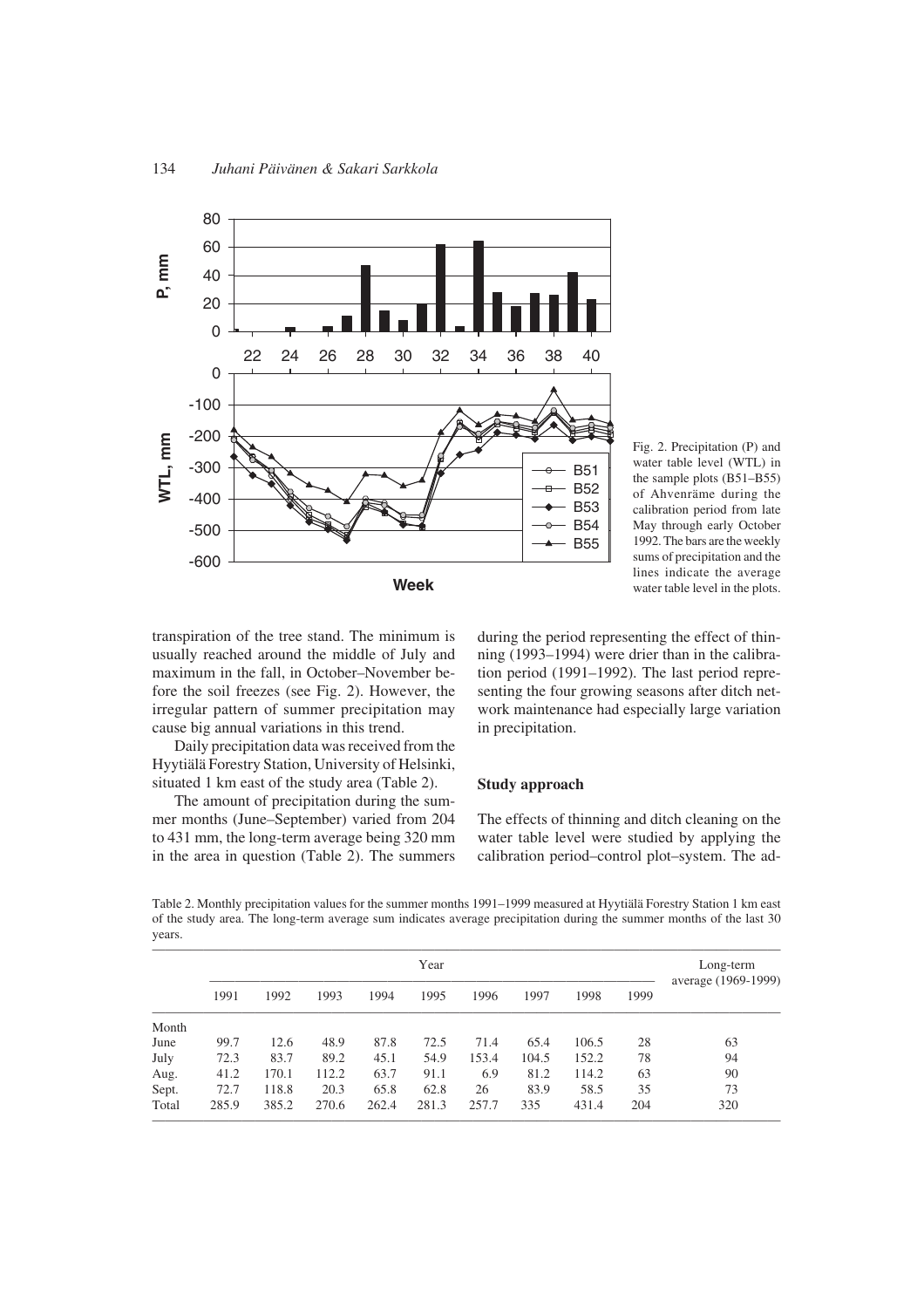

Fig. 2. Precipitation (P) and water table level (WTL) in the sample plots (B51–B55) of Ahvenräme during the calibration period from late May through early October 1992. The bars are the weekly sums of precipitation and the lines indicate the average water table level in the plots.

transpiration of the tree stand. The minimum is usually reached around the middle of July and maximum in the fall, in October–November before the soil freezes (see Fig. 2). However, the irregular pattern of summer precipitation may cause big annual variations in this trend.

Daily precipitation data was received from the Hyytiälä Forestry Station, University of Helsinki, situated 1 km east of the study area (Table 2).

The amount of precipitation during the summer months (June–September) varied from 204 to 431 mm, the long-term average being 320 mm in the area in question (Table 2). The summers during the period representing the effect of thinning (1993–1994) were drier than in the calibration period (1991–1992). The last period representing the four growing seasons after ditch network maintenance had especially large variation in precipitation.

#### **Study approach**

The effects of thinning and ditch cleaning on the water table level were studied by applying the calibration period–control plot–system. The ad-

Table 2. Monthly precipitation values for the summer months 1991–1999 measured at Hyytiälä Forestry Station 1 km east of the study area. The long-term average sum indicates average precipitation during the summer months of the last 30 years.

|       | Year  |       |       |       |       |       |       | Long-term<br>average (1969-1999) |      |     |
|-------|-------|-------|-------|-------|-------|-------|-------|----------------------------------|------|-----|
|       | 1991  | 1992  | 1993  | 1994  | 1995  | 1996  | 1997  | 1998                             | 1999 |     |
| Month |       |       |       |       |       |       |       |                                  |      |     |
| June  | 99.7  | 12.6  | 48.9  | 87.8  | 72.5  | 71.4  | 65.4  | 106.5                            | 28   | 63  |
| July  | 72.3  | 83.7  | 89.2  | 45.1  | 54.9  | 153.4 | 104.5 | 152.2                            | 78   | 94  |
| Aug.  | 41.2  | 170.1 | 112.2 | 63.7  | 91.1  | 6.9   | 81.2  | 114.2                            | 63   | 90  |
| Sept. | 72.7  | 118.8 | 20.3  | 65.8  | 62.8  | 26    | 83.9  | 58.5                             | 35   | 73  |
| Total | 285.9 | 385.2 | 270.6 | 262.4 | 281.3 | 257.7 | 335   | 431.4                            | 204  | 320 |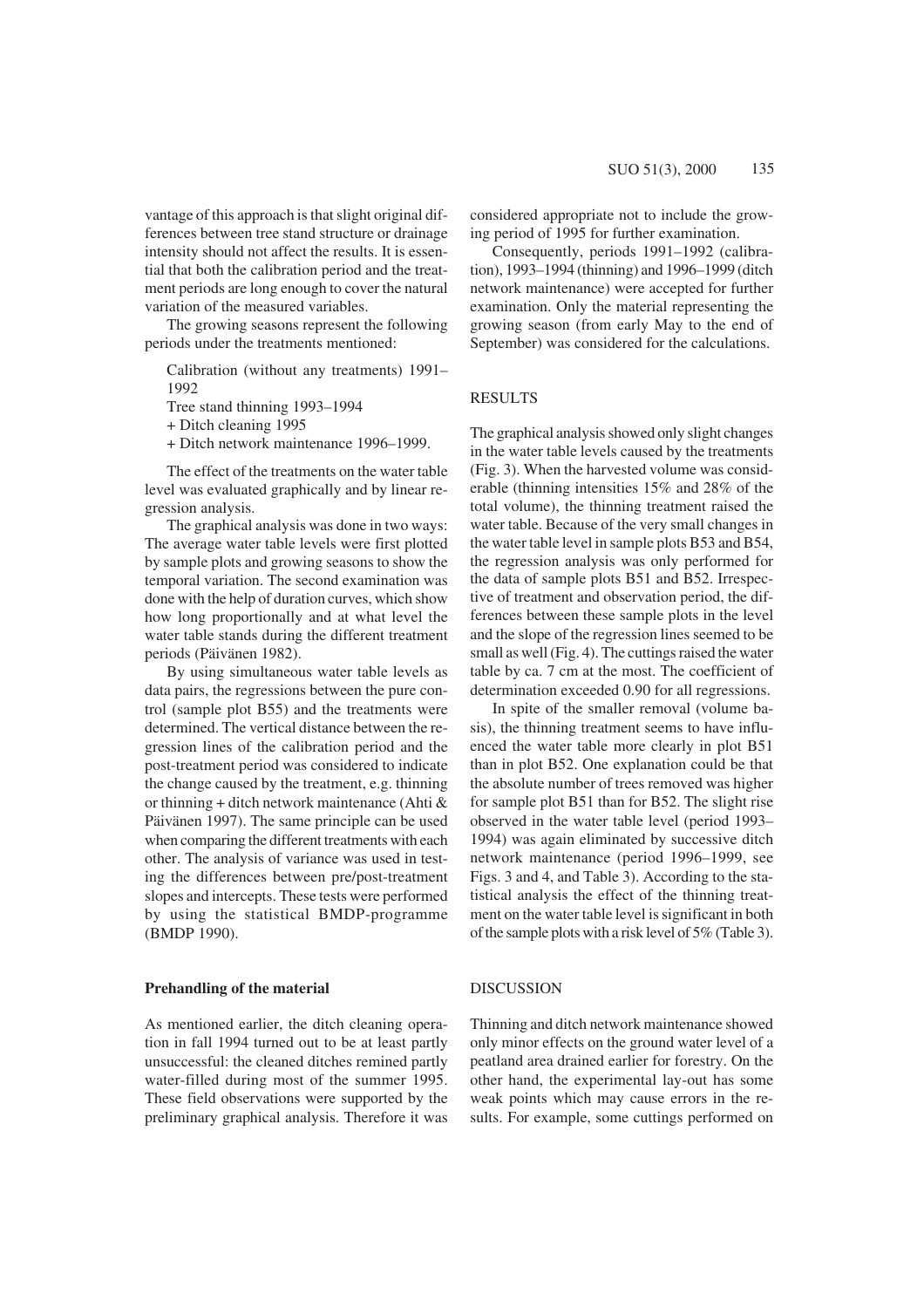vantage of this approach is that slight original differences between tree stand structure or drainage intensity should not affect the results. It is essential that both the calibration period and the treatment periods are long enough to cover the natural variation of the measured variables.

The growing seasons represent the following periods under the treatments mentioned:

Calibration (without any treatments) 1991– 1992

Tree stand thinning 1993–1994

+ Ditch cleaning 1995

+ Ditch network maintenance 1996–1999.

The effect of the treatments on the water table level was evaluated graphically and by linear regression analysis.

The graphical analysis was done in two ways: The average water table levels were first plotted by sample plots and growing seasons to show the temporal variation. The second examination was done with the help of duration curves, which show how long proportionally and at what level the water table stands during the different treatment periods (Päivänen 1982).

By using simultaneous water table levels as data pairs, the regressions between the pure control (sample plot B55) and the treatments were determined. The vertical distance between the regression lines of the calibration period and the post-treatment period was considered to indicate the change caused by the treatment, e.g. thinning or thinning + ditch network maintenance (Ahti & Päivänen 1997). The same principle can be used when comparing the different treatments with each other. The analysis of variance was used in testing the differences between pre/post-treatment slopes and intercepts. These tests were performed by using the statistical BMDP-programme (BMDP 1990).

#### **Prehandling of the material**

As mentioned earlier, the ditch cleaning operation in fall 1994 turned out to be at least partly unsuccessful: the cleaned ditches remined partly water-filled during most of the summer 1995. These field observations were supported by the preliminary graphical analysis. Therefore it was considered appropriate not to include the growing period of 1995 for further examination.

Consequently, periods 1991–1992 (calibration), 1993–1994 (thinning) and 1996–1999 (ditch network maintenance) were accepted for further examination. Only the material representing the growing season (from early May to the end of September) was considered for the calculations.

#### RESULTS

The graphical analysis showed only slight changes in the water table levels caused by the treatments (Fig. 3). When the harvested volume was considerable (thinning intensities 15% and 28% of the total volume), the thinning treatment raised the water table. Because of the very small changes in the water table level in sample plots B53 and B54, the regression analysis was only performed for the data of sample plots B51 and B52. Irrespective of treatment and observation period, the differences between these sample plots in the level and the slope of the regression lines seemed to be small as well (Fig. 4). The cuttings raised the water table by ca. 7 cm at the most. The coefficient of determination exceeded 0.90 for all regressions.

In spite of the smaller removal (volume basis), the thinning treatment seems to have influenced the water table more clearly in plot B51 than in plot B52. One explanation could be that the absolute number of trees removed was higher for sample plot B51 than for B52. The slight rise observed in the water table level (period 1993– 1994) was again eliminated by successive ditch network maintenance (period 1996–1999, see Figs. 3 and 4, and Table 3). According to the statistical analysis the effect of the thinning treatment on the water table level is significant in both of the sample plots with a risk level of 5% (Table 3).

#### DISCUSSION

Thinning and ditch network maintenance showed only minor effects on the ground water level of a peatland area drained earlier for forestry. On the other hand, the experimental lay-out has some weak points which may cause errors in the results. For example, some cuttings performed on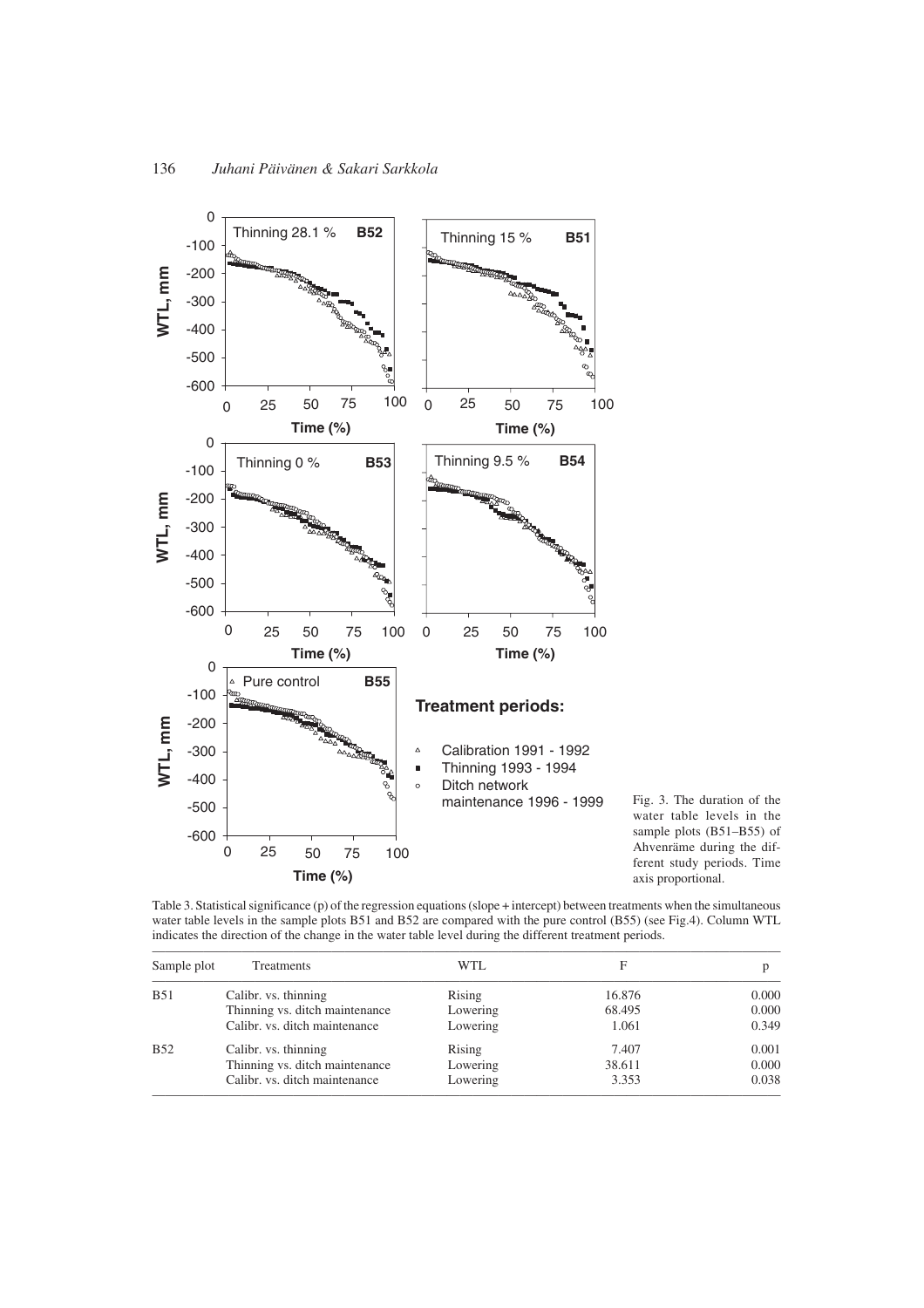

Fig. 3. The duration of the water table levels in the sample plots (B51–B55) of Ahvenräme during the different study periods. Time axis proportional.

Table 3. Statistical significance (p) of the regression equations (slope + intercept) between treatments when the simultaneous water table levels in the sample plots B51 and B52 are compared with the pure control (B55) (see Fig.4). Column WTL indicates the direction of the change in the water table level during the different treatment periods.

| Sample plot | <b>Treatments</b>              | WTL.     | F      | D     |
|-------------|--------------------------------|----------|--------|-------|
| <b>B51</b>  | Calibr. vs. thinning           | Rising   | 16.876 | 0.000 |
|             | Thinning vs. ditch maintenance | Lowering | 68.495 | 0.000 |
|             | Calibr. vs. ditch maintenance  | Lowering | 1.061  | 0.349 |
| <b>B52</b>  | Calibr. vs. thinning           | Rising   | 7.407  | 0.001 |
|             | Thinning vs. ditch maintenance | Lowering | 38.611 | 0.000 |
|             | Calibr. vs. ditch maintenance  | Lowering | 3.353  | 0.038 |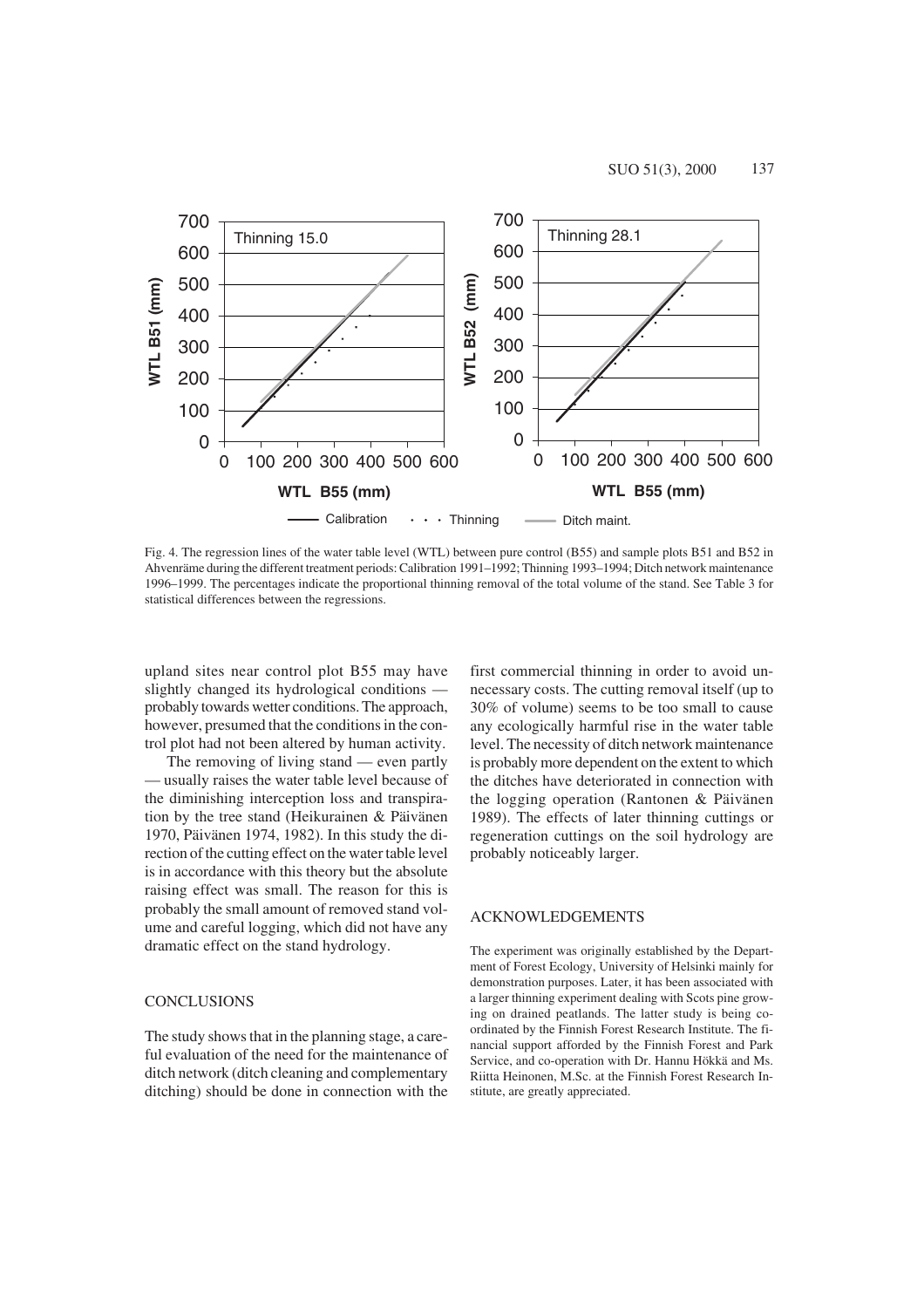

Fig. 4. The regression lines of the water table level (WTL) between pure control (B55) and sample plots B51 and B52 in Ahvenräme during the different treatment periods: Calibration 1991–1992; Thinning 1993–1994; Ditch network maintenance 1996–1999. The percentages indicate the proportional thinning removal of the total volume of the stand. See Table 3 for statistical differences between the regressions.

upland sites near control plot B55 may have slightly changed its hydrological conditions probably towards wetter conditions. The approach, however, presumed that the conditions in the control plot had not been altered by human activity.

The removing of living stand — even partly usually raises the water table level because of the diminishing interception loss and transpiration by the tree stand (Heikurainen & Päivänen 1970, Päivänen 1974, 1982). In this study the direction of the cutting effect on the water table level is in accordance with this theory but the absolute raising effect was small. The reason for this is probably the small amount of removed stand volume and careful logging, which did not have any dramatic effect on the stand hydrology.

#### **CONCLUSIONS**

The study shows that in the planning stage, a careful evaluation of the need for the maintenance of ditch network (ditch cleaning and complementary ditching) should be done in connection with the

first commercial thinning in order to avoid unnecessary costs. The cutting removal itself (up to 30% of volume) seems to be too small to cause any ecologically harmful rise in the water table level. The necessity of ditch network maintenance is probably more dependent on the extent to which the ditches have deteriorated in connection with the logging operation (Rantonen & Päivänen 1989). The effects of later thinning cuttings or regeneration cuttings on the soil hydrology are probably noticeably larger.

#### ACKNOWLEDGEMENTS

The experiment was originally established by the Department of Forest Ecology, University of Helsinki mainly for demonstration purposes. Later, it has been associated with a larger thinning experiment dealing with Scots pine growing on drained peatlands. The latter study is being coordinated by the Finnish Forest Research Institute. The financial support afforded by the Finnish Forest and Park Service, and co-operation with Dr. Hannu Hökkä and Ms. Riitta Heinonen, M.Sc. at the Finnish Forest Research Institute, are greatly appreciated.